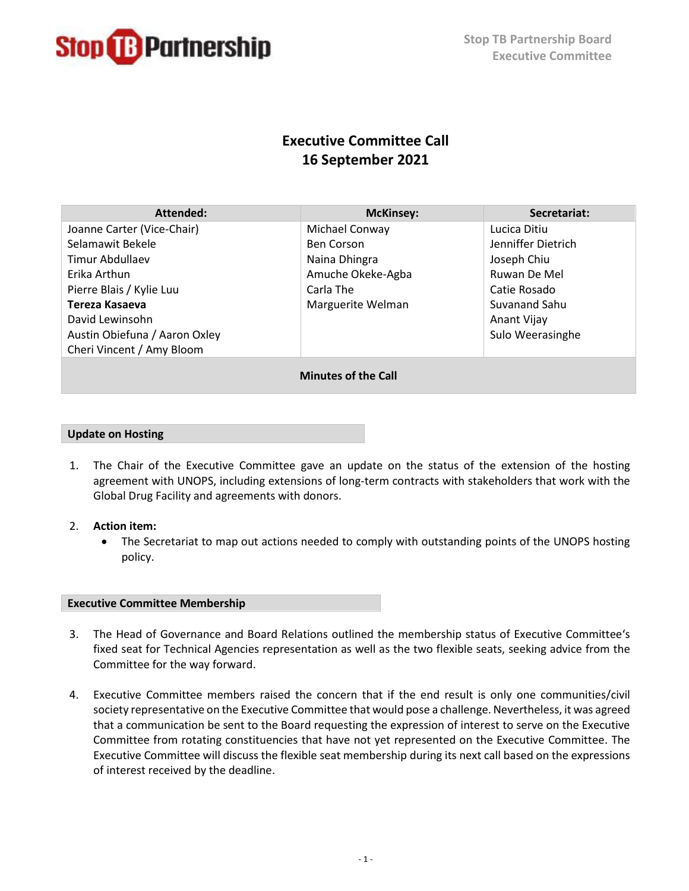

# **Executive Committee Call 16 September 2021**

| Attended:                     | <b>McKinsey:</b>  | Secretariat:        |
|-------------------------------|-------------------|---------------------|
| Joanne Carter (Vice-Chair)    | Michael Conway    | Lucica Ditiu        |
| Selamawit Bekele              | <b>Ben Corson</b> | Jenniffer Dietrich  |
| Timur Abdullaev               | Naina Dhingra     | Joseph Chiu         |
| Erika Arthun                  | Amuche Okeke-Agba | <b>Ruwan De Mel</b> |
| Pierre Blais / Kylie Luu      | Carla The         | Catie Rosado        |
| Tereza Kasaeva                | Marguerite Welman | Suvanand Sahu       |
| David Lewinsohn               |                   | Anant Vijay         |
| Austin Obiefuna / Aaron Oxley |                   | Sulo Weerasinghe    |
| Cheri Vincent / Amy Bloom     |                   |                     |
| <b>Minutes of the Call</b>    |                   |                     |

## **Update on Hosting**

- 1. The Chair of the Executive Committee gave an update on the status of the extension of the hosting agreement with UNOPS, including extensions of long-term contracts with stakeholders that work with the Global Drug Facility and agreements with donors.
- 2. **Action item:**
	- The Secretariat to map out actions needed to comply with outstanding points of the UNOPS hosting policy.

#### **Executive Committee Membership**

- 3. The Head of Governance and Board Relations outlined the membership status of Executive Committee's fixed seat for Technical Agencies representation as well as the two flexible seats, seeking advice from the Committee for the way forward.
- 4. Executive Committee members raised the concern that if the end result is only one communities/civil society representative on the Executive Committee that would pose a challenge. Nevertheless, it was agreed that a communication be sent to the Board requesting the expression of interest to serve on the Executive Committee from rotating constituencies that have not yet represented on the Executive Committee. The Executive Committee will discuss the flexible seat membership during its next call based on the expressions of interest received by the deadline.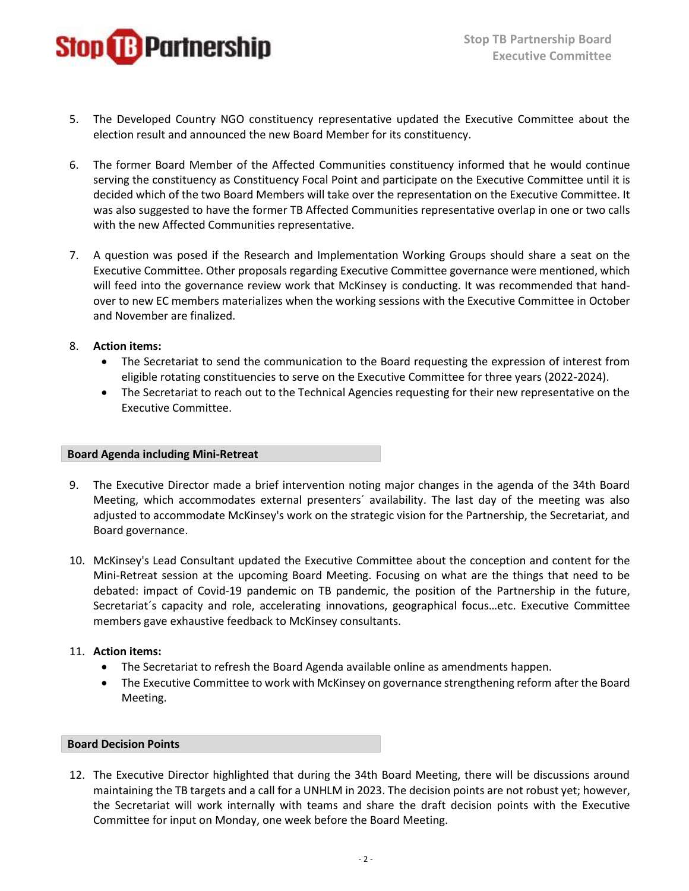

- 5. The Developed Country NGO constituency representative updated the Executive Committee about the election result and announced the new Board Member for its constituency.
- 6. The former Board Member of the Affected Communities constituency informed that he would continue serving the constituency as Constituency Focal Point and participate on the Executive Committee until it is decided which of the two Board Members will take over the representation on the Executive Committee. It was also suggested to have the former TB Affected Communities representative overlap in one or two calls with the new Affected Communities representative.
- 7. A question was posed if the Research and Implementation Working Groups should share a seat on the Executive Committee. Other proposals regarding Executive Committee governance were mentioned, which will feed into the governance review work that McKinsey is conducting. It was recommended that handover to new EC members materializes when the working sessions with the Executive Committee in October and November are finalized.
- 8. **Action items:**
	- The Secretariat to send the communication to the Board requesting the expression of interest from eligible rotating constituencies to serve on the Executive Committee for three years (2022-2024).
	- The Secretariat to reach out to the Technical Agencies requesting for their new representative on the Executive Committee.

#### **Board Agenda including Mini-Retreat**

- 9. The Executive Director made a brief intervention noting major changes in the agenda of the 34th Board Meeting, which accommodates external presenters´ availability. The last day of the meeting was also adjusted to accommodate McKinsey's work on the strategic vision for the Partnership, the Secretariat, and Board governance.
- 10. McKinsey's Lead Consultant updated the Executive Committee about the conception and content for the Mini-Retreat session at the upcoming Board Meeting. Focusing on what are the things that need to be debated: impact of Covid-19 pandemic on TB pandemic, the position of the Partnership in the future, Secretariat´s capacity and role, accelerating innovations, geographical focus…etc. Executive Committee members gave exhaustive feedback to McKinsey consultants.

# 11. **Action items:**

- The Secretariat to refresh the Board Agenda available online as amendments happen.
- The Executive Committee to work with McKinsey on governance strengthening reform after the Board Meeting.

## **Board Decision Points**

12. The Executive Director highlighted that during the 34th Board Meeting, there will be discussions around maintaining the TB targets and a call for a UNHLM in 2023. The decision points are not robust yet; however, the Secretariat will work internally with teams and share the draft decision points with the Executive Committee for input on Monday, one week before the Board Meeting.